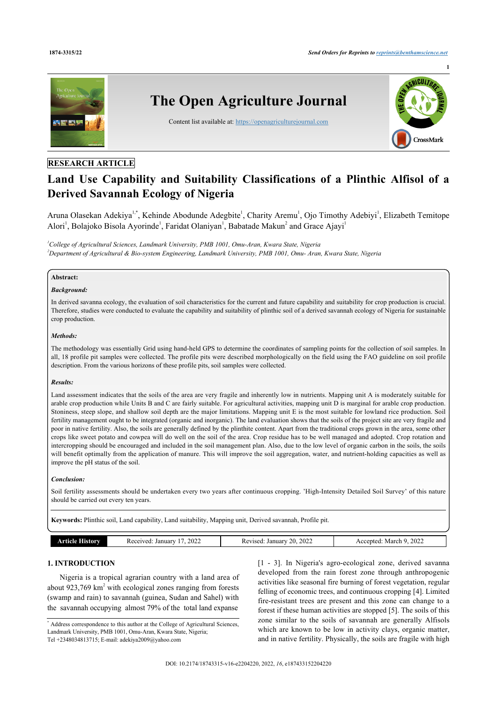

### **RESEARCH ARTICLE**

# **Land Use Capability and Suitability Classifications of a Plinthic Alfisol of a Derived Savannah Ecology of Nigeria**

Aruna Olasekan Adekiya<sup>[1](#page--1-0)[,\\*](#page-0-0)</sup>, Kehinde Abodunde Adegbite<sup>1</sup>, Charity Aremu<sup>1</sup>, Ojo Timothy Adebiyi<sup>1</sup>, Elizabeth Temitope Alori<sup>[1](#page--1-0)</sup>, Bolajoko Bisola Ayorinde<sup>1</sup>, Faridat Olaniyan<sup>1</sup>, Babatade Makun<sup>[2](#page-0-1)</sup> and Grace Ajayi<sup>1</sup>

<span id="page-0-1"></span>*<sup>1</sup>College of Agricultural Sciences, Landmark University, PMB 1001, Omu-Aran, Kwara State, Nigeria <sup>2</sup>Department of Agricultural & Bio-system Engineering, Landmark University, PMB 1001, Omu- Aran, Kwara State, Nigeria*

### **Abstract:**

### *Background:*

In derived savanna ecology, the evaluation of soil characteristics for the current and future capability and suitability for crop production is crucial. Therefore, studies were conducted to evaluate the capability and suitability of plinthic soil of a derived savannah ecology of Nigeria for sustainable crop production.

### *Methods:*

The methodology was essentially Grid using hand-held GPS to determine the coordinates of sampling points for the collection of soil samples. In all, 18 profile pit samples were collected. The profile pits were described morphologically on the field using the FAO guideline on soil profile description. From the various horizons of these profile pits, soil samples were collected.

### *Results:*

Land assessment indicates that the soils of the area are very fragile and inherently low in nutrients. Mapping unit A is moderately suitable for arable crop production while Units B and C are fairly suitable. For agricultural activities, mapping unit D is marginal for arable crop production. Stoniness, steep slope, and shallow soil depth are the major limitations. Mapping unit E is the most suitable for lowland rice production. Soil fertility management ought to be integrated (organic and inorganic). The land evaluation shows that the soils of the project site are very fragile and poor in native fertility. Also, the soils are generally defined by the plinthite content. Apart from the traditional crops grown in the area, some other crops like sweet potato and cowpea will do well on the soil of the area. Crop residue has to be well managed and adopted. Crop rotation and intercropping should be encouraged and included in the soil management plan. Also, due to the low level of organic carbon in the soils, the soils will benefit optimally from the application of manure. This will improve the soil aggregation, water, and nutrient-holding capacities as well as improve the pH status of the soil.

### *Conclusion:*

Soil fertility assessments should be undertaken every two years after continuous cropping. 'High-Intensity Detailed Soil Survey' of this nature should be carried out every ten years.

**Keywords:** Plinthic soil, Land capability, Land suitability, Mapping unit, Derived savannah, Profile pit.

|  | .សលាចា | 2022<br>January<br>Received | 2022<br>∼<br>January<br>Revised<br>,,<br>$\sim$ | 0.025<br>March<br>ccepted.<br>2022 |
|--|--------|-----------------------------|-------------------------------------------------|------------------------------------|
|--|--------|-----------------------------|-------------------------------------------------|------------------------------------|

### **1. INTRODUCTION**

Nigeria is a tropical agrarian country with a land area of about  $923,769$  km<sup>2</sup> with ecological zones ranging from forests (swamp and rain) to savannah (guinea, Sudan and Sahel) with the savannah occupying almost 79% of the total land expanse

[[1](#page-11-0) - [3\]](#page-11-1). In Nigeria's agro-ecological zone, derived savanna developed from the rain forest zone through anthropogenic activities like seasonal fire burning of forest vegetation, regular felling of economic trees, and continuous cropping [[4](#page-11-2)]. Limited fire-resistant trees are present and this zone can change to a forest if these human activities are stopped [[5](#page-11-3)]. The soils of this zone similar to the soils of savannah are generally Alfisols which are known to be low in activity clays, organic matter, and in native fertility. Physically, the soils are fragile with high

<span id="page-0-0"></span><sup>\*</sup> Address correspondence to this author at the College of Agricultural Sciences, Landmark University, PMB 1001, Omu-Aran, Kwara State, Nigeria; Tel +2348034813715; E-mail: [adekiya2009@yahoo.com](mailto:adekiya2009@yahoo.com)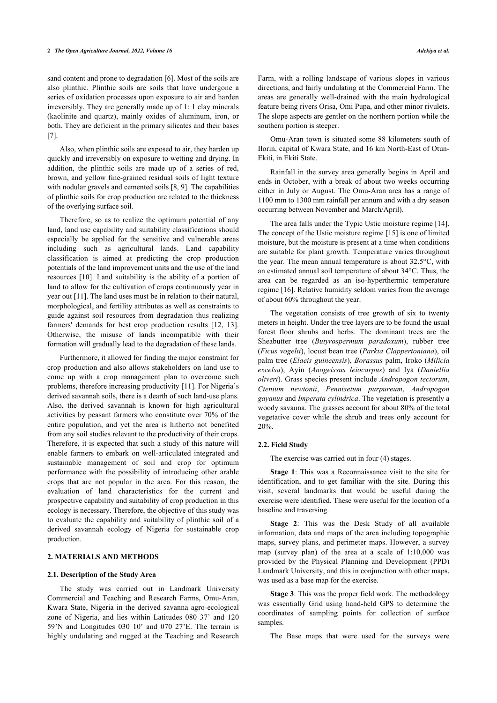sand content and prone to degradation [\[6\]](#page-11-4). Most of the soils are also plinthic. Plinthic soils are soils that have undergone a series of oxidation processes upon exposure to air and harden irreversibly. They are generally made up of 1: 1 clay minerals (kaolinite and quartz), mainly oxides of aluminum, iron, or both. They are deficient in the primary silicates and their bases [[7](#page-11-5)].

Also, when plinthic soils are exposed to air, they harden up quickly and irreversibly on exposure to wetting and drying. In addition, the plinthic soils are made up of a series of red, brown, and yellow fine-grained residual soils of light texture with nodular gravels and cemented soils [[8](#page-11-6), [9](#page-11-7)]. The capabilities of plinthic soils for crop production are related to the thickness of the overlying surface soil.

Therefore, so as to realize the optimum potential of any land, land use capability and suitability classifications should especially be applied for the sensitive and vulnerable areas including such as agricultural lands. Land capability classification is aimed at predicting the crop production potentials of the land improvement units and the use of the land resources [[10](#page-11-8)]. Land suitability is the ability of a portion of land to allow for the cultivation of crops continuously year in year out [[11\]](#page-11-9). The land uses must be in relation to their natural, morphological, and fertility attributes as well as constraints to guide against soil resources from degradation thus realizing farmers' demands for best crop production results [\[12](#page-11-10), [13\]](#page-11-11). Otherwise, the misuse of lands incompatible with their formation will gradually lead to the degradation of these lands.

Furthermore, it allowed for finding the major constraint for crop production and also allows stakeholders on land use to come up with a crop management plan to overcome such problems, therefore increasing productivity [\[11\]](#page-11-9). For Nigeria's derived savannah soils, there is a dearth of such land-use plans. Also, the derived savannah is known for high agricultural activities by peasant farmers who constitute over 70% of the entire population, and yet the area is hitherto not benefited from any soil studies relevant to the productivity of their crops. Therefore, it is expected that such a study of this nature will enable farmers to embark on well-articulated integrated and sustainable management of soil and crop for optimum performance with the possibility of introducing other arable crops that are not popular in the area. For this reason, the evaluation of land characteristics for the current and prospective capability and suitability of crop production in this ecology is necessary. Therefore, the objective of this study was to evaluate the capability and suitability of plinthic soil of a derived savannah ecology of Nigeria for sustainable crop production.

### **2. MATERIALS AND METHODS**

#### **2.1. Description of the Study Area**

The study was carried out in Landmark University Commercial and Teaching and Research Farms, Omu-Aran, Kwara State, Nigeria in the derived savanna agro-ecological zone of Nigeria, and lies within Latitudes 080 37' and 120 59'N and Longitudes 030 10' and 070 27'E. The terrain is highly undulating and rugged at the Teaching and Research

Farm, with a rolling landscape of various slopes in various directions, and fairly undulating at the Commercial Farm. The areas are generally well-drained with the main hydrological feature being rivers Orisa, Omi Pupa, and other minor rivulets. The slope aspects are gentler on the northern portion while the southern portion is steeper.

Omu-Aran town is situated some 88 kilometers south of Ilorin, capital of Kwara State, and 16 km North-East of Otun-Ekiti, in Ekiti State.

Rainfall in the survey area generally begins in April and ends in October, with a break of about two weeks occurring either in July or August. The Omu-Aran area has a range of 1100 mm to 1300 mm rainfall per annum and with a dry season occurring between November and March/April).

The area falls under the Typic Ustic moisture regime [\[14](#page-11-12)]. The concept of the Ustic moisture regime [[15](#page-11-13)] is one of limited moisture, but the moisture is present at a time when conditions are suitable for plant growth. Temperature varies throughout the year. The mean annual temperature is about 32.5°C, with an estimated annual soil temperature of about 34°C. Thus, the area can be regarded as an iso-hyperthermic temperature regime [[16\]](#page-11-14). Relative humidity seldom varies from the average of about 60% throughout the year.

The vegetation consists of tree growth of six to twenty meters in height. Under the tree layers are to be found the usual forest floor shrubs and herbs. The dominant trees are the Sheabutter tree (*Butyrospermum paradoxum*), rubber tree (*Ficus vogelii*), locust bean tree (*Parkia Clappertoniana*), oil palm tree (*Elaeis guineensis*), *Borassus* palm, Iroko (*Milicia excelsa*), Ayin (*Anogeissus leiocarpus*) and Iya (*Daniellia oliveri*). Grass species present include *Andropogon tectorum*, *Ctenium newtonii*, *Pennisetum purpureum*, *Andropogon gayanus* and *Imperata cylindrica*. The vegetation is presently a woody savanna. The grasses account for about 80% of the total vegetative cover while the shrub and trees only account for 20%.

#### **2.2. Field Study**

The exercise was carried out in four (4) stages.

**Stage 1**: This was a Reconnaissance visit to the site for identification, and to get familiar with the site. During this visit, several landmarks that would be useful during the exercise were identified. These were useful for the location of a baseline and traversing.

**Stage 2**: This was the Desk Study of all available information, data and maps of the area including topographic maps, survey plans, and perimeter maps. However, a survey map (survey plan) of the area at a scale of 1:10,000 was provided by the Physical Planning and Development (PPD) Landmark University, and this in conjunction with other maps, was used as a base map for the exercise.

**Stage 3**: This was the proper field work. The methodology was essentially Grid using hand-held GPS to determine the coordinates of sampling points for collection of surface samples.

The Base maps that were used for the surveys were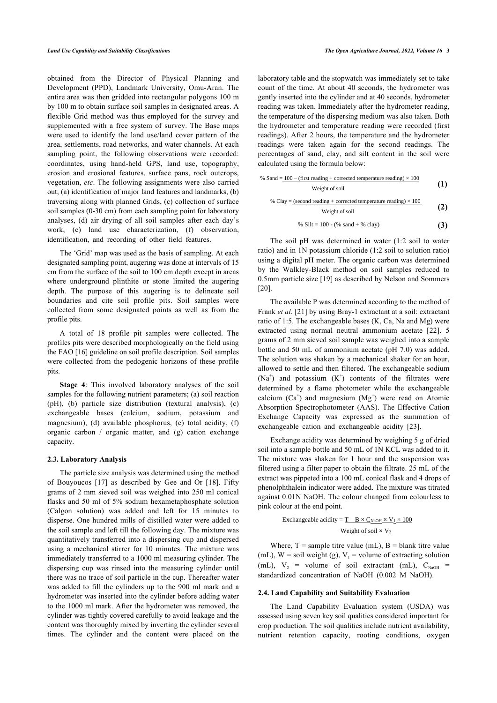obtained from the Director of Physical Planning and Development (PPD), Landmark University, Omu-Aran. The entire area was then gridded into rectangular polygons 100 m by 100 m to obtain surface soil samples in designated areas. A flexible Grid method was thus employed for the survey and supplemented with a free system of survey. The Base maps were used to identify the land use/land cover pattern of the area, settlements, road networks, and water channels. At each sampling point, the following observations were recorded: coordinates, using hand-held GPS, land use, topography, erosion and erosional features, surface pans, rock outcrops, vegetation, *etc*. The following assignments were also carried out; (a) identification of major land features and landmarks, (b) traversing along with planned Grids, (c) collection of surface soil samples (0-30 cm) from each sampling point for laboratory analyses, (d) air drying of all soil samples after each day's work, (e) land use characterization, (f) observation, identification, and recording of other field features.

The 'Grid' map was used as the basis of sampling. At each designated sampling point, augering was done at intervals of 15 cm from the surface of the soil to 100 cm depth except in areas where underground plinthite or stone limited the augering depth. The purpose of this augering is to delineate soil boundaries and cite soil profile pits. Soil samples were collected from some designated points as well as from the profile pits.

A total of 18 profile pit samples were collected. The profiles pits were described morphologically on the field using the FAO [\[16](#page-11-14)] guideline on soil profile description. Soil samples were collected from the pedogenic horizons of these profile pits.

**Stage 4**: This involved laboratory analyses of the soil samples for the following nutrient parameters; (a) soil reaction (pH), (b) particle size distribution (textural analysis), (c) exchangeable bases (calcium, sodium, potassium and magnesium), (d) available phosphorus, (e) total acidity, (f) organic carbon / organic matter, and (g) cation exchange capacity.

### **2.3. Laboratory Analysis**

The particle size analysis was determined using the method of Bouyoucos[[17\]](#page-11-15) as described by Gee and Or[[18](#page-11-16)]. Fifty grams of 2 mm sieved soil was weighed into 250 ml conical flasks and 50 ml of 5% sodium hexametaphosphate solution (Calgon solution) was added and left for 15 minutes to disperse. One hundred mills of distilled water were added to the soil sample and left till the following day. The mixture was quantitatively transferred into a dispersing cup and dispersed using a mechanical stirrer for 10 minutes. The mixture was immediately transferred to a 1000 ml measuring cylinder. The dispersing cup was rinsed into the measuring cylinder until there was no trace of soil particle in the cup. Thereafter water was added to fill the cylinders up to the 900 ml mark and a hydrometer was inserted into the cylinder before adding water to the 1000 ml mark. After the hydrometer was removed, the cylinder was tightly covered carefully to avoid leakage and the content was thoroughly mixed by inverting the cylinder several times. The cylinder and the content were placed on the

laboratory table and the stopwatch was immediately set to take count of the time. At about 40 seconds, the hydrometer was gently inserted into the cylinder and at 40 seconds, hydrometer reading was taken. Immediately after the hydrometer reading, the temperature of the dispersing medium was also taken. Both the hydrometer and temperature reading were recorded (first readings). After 2 hours, the temperature and the hydrometer readings were taken again for the second readings. The percentages of sand, clay, and silt content in the soil were calculated using the formula below:

% Sand = 
$$
\frac{100 - (\text{first reading} + \text{corrected temperature reading}) \times 100}{\text{Weight of soil}}
$$
 (1)

% Clay = (second reading + corrected temperature reading) × 100  
Weight of soil\n
$$
(2)
$$

% Silt = 
$$
100 - (\%
$$
 sand + % clay) (3)

The soil pH was determined in water (1:2 soil to water ratio) and in 1N potassium chloride (1:2 soil to solution ratio) using a digital pH meter. The organic carbon was determined by the Walkley-Black method on soil samples reduced to 0.5mm particle size [[19\]](#page-11-17) as described by Nelson and Sommers [[20\]](#page-11-18).

The available P was determined according to the method of Frank *et al*. [\[21](#page-11-19)] by using Bray-1 extractant at a soil: extractant ratio of 1:5. The exchangeable bases (K, Ca, Na and Mg) were extracted using normal neutral ammonium acetate[[22\]](#page-11-20). 5 grams of 2 mm sieved soil sample was weighed into a sample bottle and 50 mL of ammonium acetate (pH 7.0) was added. The solution was shaken by a mechanical shaker for an hour, allowed to settle and then filtered. The exchangeable sodium  $(Na^+)$  and potassium  $(K^+)$  contents of the filtrates were determined by a flame photometer while the exchangeable calcium  $(Ca^+)$  and magnesium  $(Mg^+)$  were read on Atomic Absorption Spectrophotometer (AAS). The Effective Cation Exchange Capacity was expressed as the summation of exchangeable cation and exchangeable acidity[[23\]](#page-11-21).

Exchange acidity was determined by weighing 5 g of dried soil into a sample bottle and 50 mL of 1N KCL was added to it. The mixture was shaken for 1 hour and the suspension was filtered using a filter paper to obtain the filtrate. 25 mL of the extract was pippeted into a 100 mL conical flask and 4 drops of phenolphthalein indicator were added. The mixture was titrated against 0.01N NaOH. The colour changed from colourless to pink colour at the end point.

Exchangeable acidity = 
$$
\underline{T} - \underline{B} \times C_{\text{NaOH}} \times V_1 \times 100
$$
  
Weight of soil × V<sub>2</sub>

Where,  $T =$  sample titre value (mL),  $B =$  blank titre value (mL),  $W = \text{soil weight (g)}$ ,  $V_1 = \text{volume of extracting solution}$ (mL),  $V_2$  = volume of soil extractant (mL),  $C_{\text{NaOH}}$  = standardized concentration of NaOH (0.002 M NaOH).

### **2.4. Land Capability and Suitability Evaluation**

The Land Capability Evaluation system (USDA) was assessed using seven key soil qualities considered important for crop production. The soil qualities include nutrient availability, nutrient retention capacity, rooting conditions, oxygen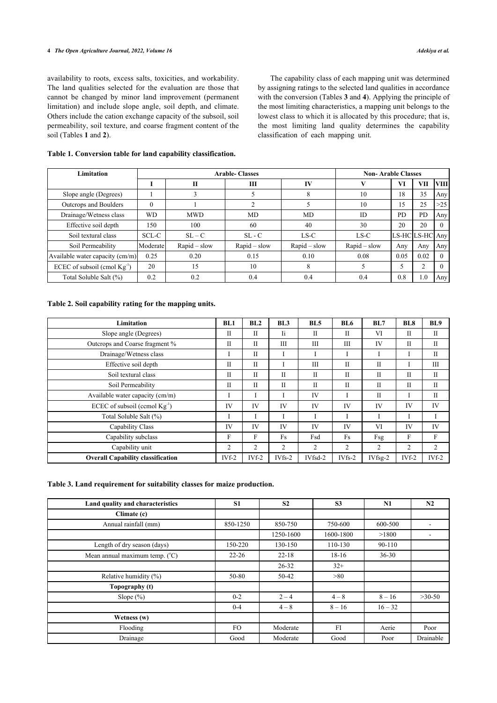### **4** *The Open Agriculture Journal, 2022, Volume 16 Adekiya et al.*

availability to roots, excess salts, toxicities, and workability. The land qualities selected for the evaluation are those that cannot be changed by minor land improvement (permanent limitation) and include slope angle, soil depth, and climate. Others include the cation exchange capacity of the subsoil, soil permeability, soil texture, and coarse fragment content of the soil (Tables **[1](#page-3-0)** and **[2](#page-3-1)**).

The capability class of each mapping unit was determined by assigning ratings to the selected land qualities in accordance with the conversion (Tables **[3](#page-3-2)** and **[4](#page-4-0)**). Applying the principle of the most limiting characteristics, a mapping unit belongs to the lowest class to which it is allocated by this procedure; that is, the most limiting land quality determines the capability classification of each mapping unit.

## <span id="page-3-0"></span>**Table 1. Conversion table for land capability classification.**

| Limitation                        |          | <b>Arable-Classes</b> | <b>Non-Arable Classes</b> |                |                |                |           |                  |
|-----------------------------------|----------|-----------------------|---------------------------|----------------|----------------|----------------|-----------|------------------|
|                                   |          | ш                     | Ш                         | IV             |                | VI             | VП        | <b>VIII</b>      |
| Slope angle (Degrees)             |          |                       |                           | 8              | 10             | 18             | 35        | Any              |
| Outcrops and Boulders             |          |                       |                           |                | 10             | 15             | 25        | >25              |
| Drainage/Wetness class            | WD       | <b>MWD</b>            | MD                        | <b>MD</b>      | <b>ID</b>      | PD             | <b>PD</b> | Any'             |
| Effective soil depth              | 150      | 100                   | 60                        | 40             | 30             | 20             | 20        |                  |
| Soil textural class               | SCL-C    | $SL - C$              | $SL - C$                  | $LS-C$         | $LS-C$         | LS-HCLS-HCLAny |           |                  |
| Soil Permeability                 | Moderate | $Rapid - slow$        | $Rapid - slow$            | $Rapid - slow$ | $Rapid - slow$ | Any            | Any       | Any <sup>1</sup> |
| Available water capacity (cm/m)   | 0.25     | 0.20                  | 0.15                      | 0.10           | 0.08           | 0.05           | 0.02      | $\Omega$         |
| ECEC of subsoil (cmol $Kg^{-1}$ ) | 20       | 15                    | 10                        | 8              |                |                |           |                  |
| Total Soluble Salt (%)            | 0.2      | 0.2                   | 0.4                       | 0.4            | 0.4            | 0.8            | 1.0       | Any              |

### <span id="page-3-1"></span>**Table 2. Soil capability rating for the mapping units.**

| Limitation                                | BL1          | BL2            | BL3          | BL <sub>5</sub> | <b>BL6</b>     | BL7            | BL <sub>8</sub> | BL <sub>9</sub> |
|-------------------------------------------|--------------|----------------|--------------|-----------------|----------------|----------------|-----------------|-----------------|
| Slope angle (Degrees)                     | П            | $\mathbf{I}$   | Ii.          | П               | $\mathbf{I}$   | VI             | П               | $_{\rm II}$     |
| Outcrops and Coarse fragment %            | П            | $\mathbf{I}$   | Ш            | Ш               | Ш              | IV             | П               | П               |
| Drainage/Wetness class                    |              | $\mathbf{I}$   |              |                 |                |                |                 | П               |
| Effective soil depth                      | П            | $\mathbf{I}$   |              | III             | П              | $_{\rm II}$    |                 | Ш               |
| Soil textural class                       | $\mathbf{I}$ | $\mathbf{I}$   | $\mathbf{I}$ | $\mathbf{I}$    | $_{\rm II}$    | $_{\rm II}$    | П               | П               |
| Soil Permeability                         | Π            | $\mathbf{I}$   | $\mathbf{I}$ | $\mathbf{I}$    | $\mathbf{I}$   | $\mathbf{I}$   | H               | H               |
| Available water capacity (cm/m)           |              |                |              | IV              |                | $\mathbf{I}$   |                 | $\mathbf{I}$    |
| ECEC of subsoil (ccmol Kg <sup>-1</sup> ) | IV           | IV             | <b>IV</b>    | IV              | IV             | IV             | <b>IV</b>       | IV              |
| Total Soluble Salt (%)                    |              |                |              |                 |                |                |                 |                 |
| Capability Class                          | <b>IV</b>    | IV             | IV           | IV              | IV             | VI             | IV              | <b>IV</b>       |
| Capability subclass                       | F            | F              | Fs           | Fsd             | Fs             | Fsg            | F               | F               |
| Capability unit                           | 2            | $\overline{2}$ | 2            | 2               | $\overline{2}$ | $\overline{2}$ | 2               | $\overline{c}$  |
| <b>Overall Capability classification</b>  | $IVf-2$      | $IVf-2$        | $IVfs-2$     | IVfsd-2         | $IVfs-2$       | $IVfsg-2$      | $IVf-2$         | $IVf-2$         |

### <span id="page-3-2"></span>**Table 3. Land requirement for suitability classes for maize production.**

| Land quality and characteristics        | <b>S1</b> | S <sub>2</sub> | <b>S3</b> | N1        | N2        |
|-----------------------------------------|-----------|----------------|-----------|-----------|-----------|
| Climate (c)                             |           |                |           |           |           |
| Annual rainfall (mm)                    | 850-1250  | 850-750        | 750-600   | 600-500   | ٠         |
|                                         |           | 1250-1600      | 1600-1800 | >1800     |           |
| Length of dry season (days)             | 150-220   | 130-150        | 110-130   | 90-110    |           |
| Mean annual maximum temp. $(^{\circ}C)$ | $22 - 26$ | $22 - 18$      | $18-16$   | $36 - 30$ |           |
|                                         |           | $26 - 32$      | $32+$     |           |           |
| Relative humidity (%)                   | 50-80     | $50 - 42$      | >80       |           |           |
| Topography (t)                          |           |                |           |           |           |
| Slope $(\%)$                            | $0 - 2$   | $2 - 4$        | $4 - 8$   | $8 - 16$  | $>30-50$  |
|                                         | $0 - 4$   | $4 - 8$        | $8 - 16$  | $16 - 32$ |           |
| Wetness (w)                             |           |                |           |           |           |
| Flooding                                | FO.       | Moderate       | FI        | Aerie     | Poor      |
| Drainage                                | Good      | Moderate       | Good      | Poor      | Drainable |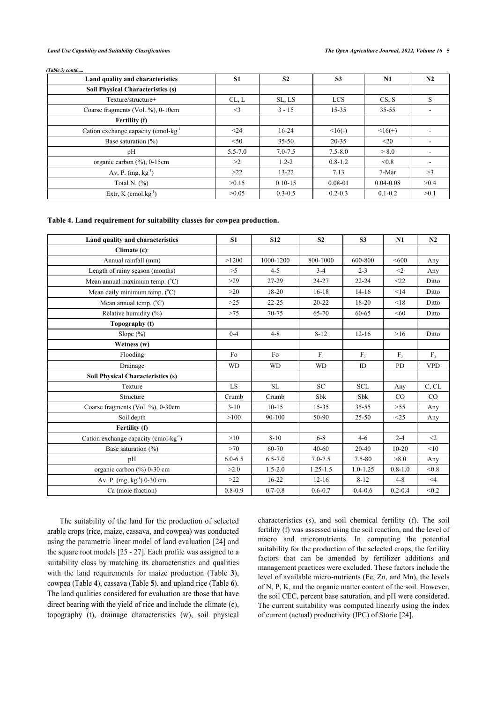|  | (Table 3) contd |
|--|-----------------|
|  |                 |

| Land quality and characteristics                  | <b>S1</b>   | S <sub>2</sub> | S <sub>3</sub> | N1            | N2   |
|---------------------------------------------------|-------------|----------------|----------------|---------------|------|
| <b>Soil Physical Characteristics (s)</b>          |             |                |                |               |      |
| Texture/structure+                                | CL, L       | SL, LS         | <b>LCS</b>     | CS, S         | S    |
| Coarse fragments (Vol. %), 0-10cm                 | $\leq$ 3    | $3 - 15$       | $15 - 35$      | $35 - 55$     |      |
| Fertility (f)                                     |             |                |                |               |      |
| Cation exchange capacity (cmol-kg <sup>-1</sup> ) | $24$        | $16-24$        | $<16(-)$       | $16(+)$       |      |
| Base saturation $(\% )$                           | < 50        | $35 - 50$      | $20 - 35$      | $20$          |      |
| pH                                                | $5.5 - 7.0$ | $7.0 - 7.5$    | $7.5 - 8.0$    | > 8.0         |      |
| organic carbon $(\%)$ , 0-15cm                    | >2          | $1.2 - 2$      | $0.8 - 1.2$    | < 0.8         |      |
| Av. P. $(mg, kg^{-1})$                            | >22         | $13 - 22$      | 7.13           | 7-Mar         | >3   |
| Total N. $(\%)$                                   | >0.15       | $0.10 - 15$    | $0.08 - 01$    | $0.04 - 0.08$ | >0.4 |
| Extr, $K$ (cmol.kg <sup>-1</sup> )                | >0.05       | $0.3 - 0.5$    | $0.2 - 0.3$    | $0.1 - 0.2$   | >0.1 |

### <span id="page-4-0"></span>**Table 4. Land requirement for suitability classes for cowpea production.**

| Land quality and characteristics                  | S <sub>1</sub> | <b>S12</b>  | S <sub>2</sub> | S <sub>3</sub> | N1             | N2             |
|---------------------------------------------------|----------------|-------------|----------------|----------------|----------------|----------------|
| Climate (c):                                      |                |             |                |                |                |                |
| Annual rainfall (mm)                              | >1200          | 1000-1200   | 800-1000       | 600-800        | <600           | Any            |
| Length of rainy season (months)                   | >5             | $4 - 5$     | $3 - 4$        | $2 - 3$        | $\leq$ 2       | Any            |
| Mean annual maximum temp. $(^{\circ}C)$           | $>29$          | 27-29       | 24-27          | $22 - 24$      | <22            | Ditto          |
| Mean daily minimum temp. $(^{\circ}C)$            | >20            | $18 - 20$   | $16 - 18$      | $14-16$        | <14            | Ditto          |
| Mean annual temp. $(^{\circ}C)$                   | $>25$          | $22 - 25$   | $20 - 22$      | $18 - 20$      | < 18           | Ditto          |
| Relative humidity (%)                             | $>75$          | $70 - 75$   | 65-70          | $60 - 65$      | < 60           | Ditto          |
| Topography (t)                                    |                |             |                |                |                |                |
| Slope $(\%)$                                      | $0 - 4$        | $4 - 8$     | $8 - 12$       | $12 - 16$      | >16            | Ditto          |
| Wetness (w)                                       |                |             |                |                |                |                |
| Flooding                                          | Fo             | Fo          | $F_{1}$        | F <sub>2</sub> | F <sub>2</sub> | F <sub>3</sub> |
| Drainage                                          | <b>WD</b>      | <b>WD</b>   | <b>WD</b>      | ID             | PD             | <b>VPD</b>     |
| <b>Soil Physical Characteristics (s)</b>          |                |             |                |                |                |                |
| Texture                                           | LS             | SL          | <b>SC</b>      | <b>SCL</b>     | Any            | C, CL          |
| Structure                                         | Crumb          | Crumb       | Sbk            | Sbk            | $\rm CO$       | CO             |
| Coarse fragments (Vol. %), 0-30cm                 | $3 - 10$       | $10 - 15$   | $15 - 35$      | $35 - 55$      | $>55$          | Any            |
| Soil depth                                        | >100           | 90-100      | 50-90          | $25 - 50$      | <25            | Any            |
| Fertility (f)                                     |                |             |                |                |                |                |
| Cation exchange capacity (cmol-kg <sup>-1</sup> ) | >10            | $8 - 10$    | $6 - 8$        | $4-6$          | $2 - 4$        | $<$ 2          |
| Base saturation $(\%)$                            | >70            | 60-70       | $40 - 60$      | 20-40          | $10-20$        | < 10           |
| pH                                                | $6.0 - 6.5$    | $6.5 - 7.0$ | $7.0 - 7.5$    | $7.5 - 80$     | >8.0           | Any            |
| organic carbon (%) 0-30 cm                        | >2.0           | $1.5 - 2.0$ | $1.25 - 1.5$   | $1.0 - 1.25$   | $0.8 - 1.0$    | < 0.8          |
| Av. P. (mg, kg <sup>-1</sup> ) 0-30 cm            | >22            | $16-22$     | $12 - 16$      | $8 - 12$       | $4 - 8$        | $\leq 4$       |
| Ca (mole fraction)                                | $0.8 - 0.9$    | $0.7 - 0.8$ | $0.6 - 0.7$    | $0.4 - 0.6$    | $0.2 - 0.4$    | < 0.2          |

<span id="page-4-1"></span>The suitability of the land for the production of selected arable crops (rice, maize, cassava, and cowpea) was conducted using the parametric linear model of land evaluation [[24](#page-11-22)] and the square root models [[25](#page-11-23) - [27](#page-11-24)]. Each profile was assigned to a suitability class by matching its characteristics and qualit[ie](#page-3-2)s with the land [re](#page-4-0)quirements for [m](#page-4-1)aize production (Table**3**), cowpea (Table **4**), cassava (Table **5**), and upland rice (Table **6**). The land qualities considered for evaluation are those that have direct bearing with the yield of rice and include the climate (c), topography (t), drainage characteristics (w), soil physical characteristics (s), and soil chemical fertility (f). The soil fertility (f) was assessed using the soil reaction, and the level of macro and micronutrients. In computing the potential suitability for the production of the selected crops, the fertility factors that can be amended by fertilizer additions and management practices were excluded. These factors include the level of available micro-nutrients (Fe, Zn, and Mn), the levels of N, P, K, and the organic matter content of the soil. However, the soil CEC, percent base saturation, and pH were considered. The current suitability was computed linearly using the index of current (actual) productivity (IPC) of Storie [\[24](#page-11-22)].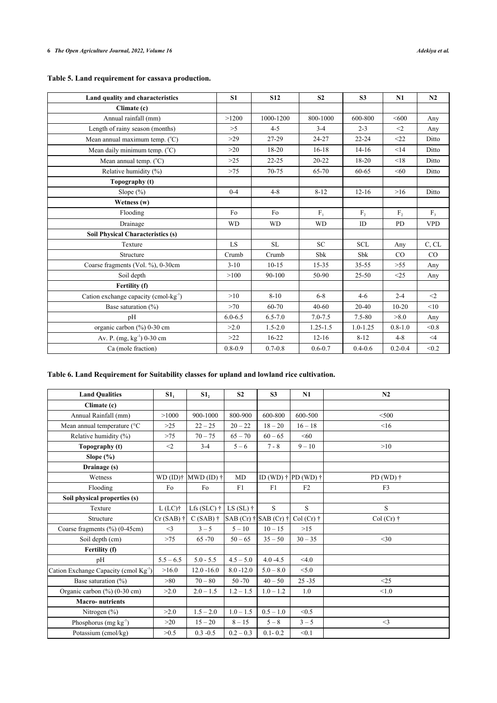|  |  |  |  | Table 5. Land requirement for cassava production. |
|--|--|--|--|---------------------------------------------------|
|  |  |  |  |                                                   |

| Land quality and characteristics                  | S <sub>1</sub> | <b>S12</b>  | S <sub>2</sub> | <b>S3</b>      | N1             | N2         |
|---------------------------------------------------|----------------|-------------|----------------|----------------|----------------|------------|
| Climate (c)                                       |                |             |                |                |                |            |
| Annual rainfall (mm)                              | >1200          | 1000-1200   | 800-1000       | 600-800        | < 600          | Any        |
| Length of rainy season (months)                   | >5             | $4 - 5$     | $3 - 4$        | $2 - 3$        | $\leq$ 2       | Any        |
| Mean annual maximum temp. $(^{\circ}C)$           | $>29$          | 27-29       | $24 - 27$      | $22 - 24$      | $22$           | Ditto      |
| Mean daily minimum temp. $(^{\circ}C)$            | >20            | 18-20       | $16 - 18$      | $14-16$        | <14            | Ditto      |
| Mean annual temp. $(^{\circ}C)$                   | >25            | $22 - 25$   | $20 - 22$      | $18 - 20$      | < 18           | Ditto      |
| Relative humidity (%)                             | $>75$          | 70-75       | 65-70          | 60-65          | < 60           | Ditto      |
| Topography (t)                                    |                |             |                |                |                |            |
| Slope $(\% )$                                     | $0 - 4$        | $4 - 8$     | $8 - 12$       | $12 - 16$      | $>16$          | Ditto      |
| Wetness (w)                                       |                |             |                |                |                |            |
| Flooding                                          | Fo             | Fo          | $F_{1}$        | F <sub>2</sub> | F <sub>2</sub> | $F_{3}$    |
| Drainage                                          | <b>WD</b>      | <b>WD</b>   | <b>WD</b>      | ID             | <b>PD</b>      | <b>VPD</b> |
| Soil Physical Characteristics (s)                 |                |             |                |                |                |            |
| Texture                                           | LS.            | <b>SL</b>   | <b>SC</b>      | <b>SCL</b>     | Any            | C, CL      |
| Structure                                         | Crumb          | Crumb       | <b>Sbk</b>     | <b>Sbk</b>     | $\rm CO$       | CO         |
| Coarse fragments (Vol. %), 0-30cm                 | $3-10$         | $10 - 15$   | $15 - 35$      | $35 - 55$      | >55            | Any        |
| Soil depth                                        | >100           | 90-100      | 50-90          | $25 - 50$      | <25            | Any        |
| Fertility (f)                                     |                |             |                |                |                |            |
| Cation exchange capacity (cmol-kg <sup>-1</sup> ) | >10            | $8 - 10$    | $6 - 8$        | $4 - 6$        | $2 - 4$        | $\leq$ 2   |
| Base saturation $(\% )$                           | >70            | 60-70       | $40 - 60$      | $20 - 40$      | $10 - 20$      | < 10       |
| pH                                                | $6.0 - 6.5$    | $6.5 - 7.0$ | $7.0 - 7.5$    | 7.5-80         | >8.0           | Any        |
| organic carbon (%) 0-30 cm                        | >2.0           | $1.5 - 2.0$ | $1.25 - 1.5$   | $1.0 - 1.25$   | $0.8 - 1.0$    | < 0.8      |
| Av. P. (mg, kg <sup>-1</sup> ) 0-30 cm            | >22            | $16 - 22$   | $12 - 16$      | $8 - 12$       | $4 - 8$        | $\leq$ 4   |
| Ca (mole fraction)                                | $0.8 - 0.9$    | $0.7 - 0.8$ | $0.6 - 0.7$    | $0.4 - 0.6$    | $0.2 - 0.4$    | < 0.2      |

### <span id="page-5-0"></span>**Table 6. Land Requirement for Suitability classes for upland and lowland rice cultivation.**

| <b>Land Oualities</b>                             | $S1_1$             | S1 <sub>2</sub>          | S <sub>2</sub>                        | S <sub>3</sub> | N1                                  | N2                |
|---------------------------------------------------|--------------------|--------------------------|---------------------------------------|----------------|-------------------------------------|-------------------|
| Climate (c)                                       |                    |                          |                                       |                |                                     |                   |
| Annual Rainfall (mm)                              | >1000              | 900-1000                 | 800-900                               | 600-800        | 600-500                             | < 500             |
| Mean annual temperature (°C                       | $>25$              | $22 - 25$                | $20 - 22$                             | $18 - 20$      | $16 - 18$                           | $\leq 16$         |
| Relative humidity (%)                             | $>75$              | $70 - 75$                | $65 - 70$                             | $60 - 65$      | < 60                                |                   |
| Topography (t)                                    | $\leq$ 2           | $3 - 4$                  | $5 - 6$                               | $7 - 8$        | $9 - 10$                            | >10               |
| Slope $(\% )$                                     |                    |                          |                                       |                |                                     |                   |
| Drainage (s)                                      |                    |                          |                                       |                |                                     |                   |
| Wetness                                           |                    | $WD (ID)$ † $MWD (ID)$ † | MD                                    |                | ID (WD) $\dagger$ PD (WD) $\dagger$ | PD (WD) $\dagger$ |
| Flooding                                          | Fo                 | Fo                       | F1                                    | F1             | F2                                  | F <sub>3</sub>    |
| Soil physical properties (s)                      |                    |                          |                                       |                |                                     |                   |
| Texture                                           | $L$ (LC) $\dagger$ | Lfs (SLC) $\dagger$      | LS $(SL)$ $\dagger$                   | S              | S                                   | S                 |
| Structure                                         | $Cr(SAB)$ †        | $C(SAB)$ †               | SAB (Cr) $\dagger$ SAB (Cr) $\dagger$ |                | $Col(Cr)$ †                         | $Col(Cr)$ †       |
| Coarse fragments (%) (0-45cm)                     | $\leq$ 3           | $3 - 5$                  | $5 - 10$                              | $10 - 15$      | >15                                 |                   |
| Soil depth (cm)                                   | >75                | $65 - 70$                | $50 - 65$                             | $35 - 50$      | $30 - 35$                           | $<$ 30            |
| Fertility (f)                                     |                    |                          |                                       |                |                                     |                   |
| pH                                                | $5.5 - 6.5$        | $5.0 - 5.5$              | $4.5 - 5.0$                           | $4.0 - 4.5$    | <4.0                                |                   |
| Cation Exchange Capacity (cmol Kg <sup>-1</sup> ) | >16.0              | $12.0 - 16.0$            | $8.0 - 12.0$                          | $5.0 - 8.0$    | < 5.0                               |                   |
| Base saturation $(\% )$                           | >80                | $70 - 80$                | $50 - 70$                             | $40 - 50$      | $25 - 35$                           | <25               |
| Organic carbon (%) (0-30 cm)                      | >2.0               | $2.0 - 1.5$              | $1.2 - 1.5$                           | $1.0 - 1.2$    | 1.0                                 | < 1.0             |
| <b>Macro-nutrients</b>                            |                    |                          |                                       |                |                                     |                   |
| Nitrogen $(\%)$                                   | >2.0               | $1.5 - 2.0$              | $1.0 - 1.5$                           | $0.5 - 1.0$    | < 0.5                               |                   |
| Phosphorus $(mg kg-1)$                            | >20                | $15 - 20$                | $8 - 15$                              | $5 - 8$        | $3 - 5$                             | $<$ 3             |
| Potassium (cmol/kg)                               | >0.5               | $0.3 - 0.5$              | $0.2 - 0.3$                           | $0.1 - 0.2$    | < 0.1                               |                   |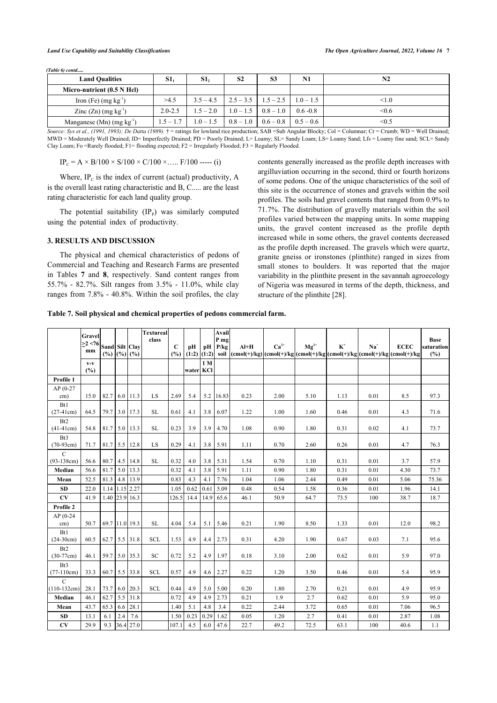#### *Land Use Capability and Suitability Classifications The Open Agriculture Journal, 2022, Volume 16* **7**

| (Table 6) contd                         |             |             |                |                           |             |                |
|-----------------------------------------|-------------|-------------|----------------|---------------------------|-------------|----------------|
| <b>Land Oualities</b>                   | S1          | <b>S1,</b>  | S <sub>2</sub> | S <sub>3</sub>            | N1          | N <sub>2</sub> |
| Micro-nutrient (0.5 N Hcl)              |             |             |                |                           |             |                |
| Iron (Fe) $(mg kg-1)$                   | >4.5        | $3.5 - 4.5$ |                | $2.5 - 3.5$   $1.5 - 2.5$ | $1.0 - 1.5$ | <1.0           |
| Zinc $(Zn)$ (mg kg <sup>-1</sup> )      | $2.0 - 2.5$ | $1.5 - 2.0$ | $1.0 - 1.5$    | $0.8 - 1.0$               | $0.6 - 0.8$ | < 0.6          |
| Manganese $(Mn)$ (mg kg <sup>-1</sup> ) | $1.5 - 1.7$ | $1.0 - 1.5$ | $0.8 - 1.0$    | $0.6 - 0.8$               | $0.5 - 0.6$ | <0.5           |

*Source: Sys et al., (1991, 1993); De Datta (1989).*  $\dagger$  = ratings for lowland rice production; SAB = Sub Angular Blocky; Col = Columnar; Cr = Crumb; WD = Well Drained; MWD = Moderately Well Drained; ID= Imperfectly Drained; PD = Poorly Drained; L= Loamy; SL= Sandy Loam; LS= Loamy Sand; Lfs = Loamy fine sand; SCL= Sandy Clay Loam; Fo =Rarely flooded; F1= flooding expected; F2 = Irregularly Flooded; F3 = Regularly Flooded.

 $IP_C = A \times B/100 \times S/100 \times C/100 \times ...$  F/100 ----- (i)

Where,  $IP_c$  is the index of current (actual) productivity, A is the overall least rating characteristic and B, C..... are the least rating characteristic for each land quality group.

The potential suitability  $(IP<sub>p</sub>)$  was similarly computed using the potential index of productivity.

### **3. RESULTS AND DISCUSSION**

The physical and chemical characteristics of pedons of Commerci[al](#page-6-0) and [Te](#page-7-0)aching and Research Farms are presented in Tables **7** and **8**, respectively. Sand content ranges from 55.7% - 82.7%. Silt ranges from 3.5% - 11.0%, while clay ranges from 7.8% - 40.8%. Within the soil profiles, the clay contents generally increased as the profile depth increases with argilluviation occurring in the second, third or fourth horizons of some pedons. One of the unique characteristics of the soil of this site is the occurrence of stones and gravels within the soil profiles. The soils had gravel contents that ranged from 0.9% to 71.7%. The distribution of gravelly materials within the soil profiles varied between the mapping units. In some mapping units, the gravel content increased as the profile depth increased while in some others, the gravel contents decreased as the profile depth increased. The gravels which were quartz, granite gneiss or ironstones (plinthite) ranged in sizes from small stones to boulders. It was reported that the major variability in the plinthite present in the savannah agroecology of Nigeria was measured in terms of the depth, thickness, and structure of the plinthite [[28\]](#page-11-25).

<span id="page-6-0"></span>**Table 7. Soil physical and chemical properties of pedons commercial farm.**

|                                  | Gravel<br>>2 < 76<br>mm               | Sand Silt Clay<br>$(\%)(\%)$ (%) (%) |     |                | <b>Textureal</b><br>class | $\mathbf C$<br>(%) | pН<br>$(1:2)$ $(1:2)$ | pH   | Avail<br>P <sub>mg</sub><br>P/kg | $Al+H$<br>soil $ (\text{cmol}(+)/\text{kg}) (\text{cmol}(+)/\text{kg} (\text{cmol}(+)/\text{kg} (\text{cmol}(+)/\text{kg} (\text{cmol}(+)/\text{kg} (\text{cmol}(+)/\text{kg} (\text{cmol}(+)/\text{kg} (\text{cmol}(+)/\text{kg} (\text{cmol}(+)/\text{kg} (\text{cmol}(+)/\text{kg} (\text{cmol}(+)/\text{kg} (\text{cmol}(+)/\text{kg} (\text{cmol}(+)/\text{kg} (\text{cmol}(+)/\text{kg} (\text{cmol}(+)/\text{kg} (\text{cmol}(+)/\text{kg} (\text{cmol$ | $Ca2+$ | $Mg^{2+}$ | $K^+$ | $Na+$ | <b>ECEC</b> | <b>Base</b><br>saturation<br>(%) |
|----------------------------------|---------------------------------------|--------------------------------------|-----|----------------|---------------------------|--------------------|-----------------------|------|----------------------------------|----------------------------------------------------------------------------------------------------------------------------------------------------------------------------------------------------------------------------------------------------------------------------------------------------------------------------------------------------------------------------------------------------------------------------------------------------------------|--------|-----------|-------|-------|-------------|----------------------------------|
|                                  | $\mathbf{V}\text{-}\mathbf{V}$<br>(%) |                                      |     |                |                           |                    | water KCl             | 1 M  |                                  |                                                                                                                                                                                                                                                                                                                                                                                                                                                                |        |           |       |       |             |                                  |
| Profile 1                        |                                       |                                      |     |                |                           |                    |                       |      |                                  |                                                                                                                                                                                                                                                                                                                                                                                                                                                                |        |           |       |       |             |                                  |
| $AP(0-27)$<br>cm)                | 15.0                                  | 82.7                                 |     | 6.0 11.3       | LS                        | 2.69               | 5.4                   | 5.2  | 16.83                            | 0.23                                                                                                                                                                                                                                                                                                                                                                                                                                                           | 2.00   | 5.10      | 1.13  | 0.01  | 8.5         | 97.3                             |
| B <sub>t1</sub><br>$(27-41cm)$   | 64.5                                  | 79.7                                 |     | 3.0 17.3       | <b>SL</b>                 | 0.61               | 4.1                   | 3.8  | 6.07                             | 1.22                                                                                                                                                                                                                                                                                                                                                                                                                                                           | 1.00   | 1.60      | 0.46  | 0.01  | 4.3         | 71.6                             |
| B <sub>t2</sub><br>$(41-41cm)$   | 54.8                                  | 81.7                                 |     | 5.0 13.3       | <b>SL</b>                 | 0.23               | 3.9                   | 3.9  | 4.70                             | 1.08                                                                                                                                                                                                                                                                                                                                                                                                                                                           | 0.90   | 1.80      | 0.31  | 0.02  | 4.1         | 73.7                             |
| B <sub>t</sub> 3<br>$(70-93cm)$  | 71.7                                  | 81.7                                 |     | $5.5$ 12.8     | LS                        | 0.29               | 4.1                   | 3.8  | 5.91                             | 1.11                                                                                                                                                                                                                                                                                                                                                                                                                                                           | 0.70   | 2.60      | 0.26  | 0.01  | 4.7         | 76.3                             |
| $\mathcal{C}$<br>$(93-138cm)$    | 56.6                                  | 80.7                                 |     | 4.5 14.8       | SL                        | 0.32               | 4.0                   | 3.8  | 5.31                             | 1.54                                                                                                                                                                                                                                                                                                                                                                                                                                                           | 0.70   | 1.10      | 0.31  | 0.01  | 3.7         | 57.9                             |
| Median                           | 56.6                                  | 81.7                                 | 5.0 | 13.3           |                           | 0.32               | 4.1                   | 3.8  | 5.91                             | 1.11                                                                                                                                                                                                                                                                                                                                                                                                                                                           | 0.90   | 1.80      | 0.31  | 0.01  | 4.30        | 73.7                             |
| Mean                             | 52.5                                  | 81.3                                 |     | 4.8 13.9       |                           | 0.83               | 4.3                   | 4.1  | 7.76                             | 1.04                                                                                                                                                                                                                                                                                                                                                                                                                                                           | 1.06   | 2.44      | 0.49  | 0.01  | 5.06        | 75.36                            |
| <b>SD</b>                        | 22.0                                  | 1.14                                 |     | 1.15 2.27      |                           | 1.05               | 0.62                  | 0.61 | 5.09                             | 0.48                                                                                                                                                                                                                                                                                                                                                                                                                                                           | 0.54   | 1.58      | 0.36  | 0.01  | 1.96        | 14.1                             |
| CV                               | 41.9                                  | 1.40                                 |     | 23.9 16.3      |                           | 126.5              | 14.4                  | 14.9 | 65.6                             | 46.1                                                                                                                                                                                                                                                                                                                                                                                                                                                           | 50.9   | 64.7      | 73.5  | 100   | 38.7        | 18.7                             |
| Profile 2                        |                                       |                                      |     |                |                           |                    |                       |      |                                  |                                                                                                                                                                                                                                                                                                                                                                                                                                                                |        |           |       |       |             |                                  |
| $AP(0-24)$<br>cm)                | 50.7                                  |                                      |     | 69.7 11.0 19.3 | <b>SL</b>                 | 4.04               | 5.4                   | 5.1  | 5.46                             | 0.21                                                                                                                                                                                                                                                                                                                                                                                                                                                           | 1.90   | 8.50      | 1.33  | 0.01  | 12.0        | 98.2                             |
| B <sub>t1</sub><br>$(24-30cm)$   | 60.5                                  | 62.7                                 |     | 5.5 31.8       | <b>SCL</b>                | 1.53               | 4.9                   | 4.4  | 2.73                             | 0.31                                                                                                                                                                                                                                                                                                                                                                                                                                                           | 4.20   | 1.90      | 0.67  | 0.03  | 7.1         | 95.6                             |
| B <sub>t2</sub><br>$(30-77cm)$   | 46.1                                  | 59.7                                 |     | 5.0 35.3       | <b>SC</b>                 | 0.72               | 5.2                   | 4.9  | 1.97                             | 0.18                                                                                                                                                                                                                                                                                                                                                                                                                                                           | 3.10   | 2.00      | 0.62  | 0.01  | 5.9         | 97.0                             |
| B <sub>t</sub> 3<br>$(77-110cm)$ | 33.3                                  | 60.7                                 |     | 5.5 33.8       | <b>SCL</b>                | 0.57               | 4.9                   | 4.6  | 2.27                             | 0.22                                                                                                                                                                                                                                                                                                                                                                                                                                                           | 1.20   | 3.50      | 0.46  | 0.01  | 5.4         | 95.9                             |
| $\mathcal{C}$<br>$(110-132cm)$   | 28.1                                  | 73.7                                 |     | 6.0 20.3       | <b>SCL</b>                | 0.44               | 4.9                   | 5.0  | 5.00                             | 0.20                                                                                                                                                                                                                                                                                                                                                                                                                                                           | 1.80   | 2.70      | 0.21  | 0.01  | 4.9         | 95.9                             |
| Median                           | 46.1                                  | 62.7                                 |     | 5.5 31.8       |                           | 0.72               | 4.9                   | 4.9  | 2.73                             | 0.21                                                                                                                                                                                                                                                                                                                                                                                                                                                           | 1.9    | 2.7       | 0.62  | 0.01  | 5.9         | 95.0                             |
| Mean                             | 43.7                                  | 65.3                                 | 6.6 | 28.1           |                           | 1.40               | 5.1                   | 4.8  | 3.4                              | 0.22                                                                                                                                                                                                                                                                                                                                                                                                                                                           | 2.44   | 3.72      | 0.65  | 0.01  | 7.06        | 96.5                             |
| <b>SD</b>                        | 13.1                                  | 6.1                                  | 2.4 | 7.6            |                           | 1.50               | 0.23                  | 0.29 | 1.62                             | 0.05                                                                                                                                                                                                                                                                                                                                                                                                                                                           | 1.20   | 2.7       | 0.41  | 0.01  | 2.87        | 1.08                             |
| CV                               | 29.9                                  | 9.3                                  |     | 36.4 27.0      |                           | 107.1              | 4.5                   | 6.0  | 47.6                             | 22.7                                                                                                                                                                                                                                                                                                                                                                                                                                                           | 49.2   | 72.5      | 63.1  | 100   | 40.6        | 1.1                              |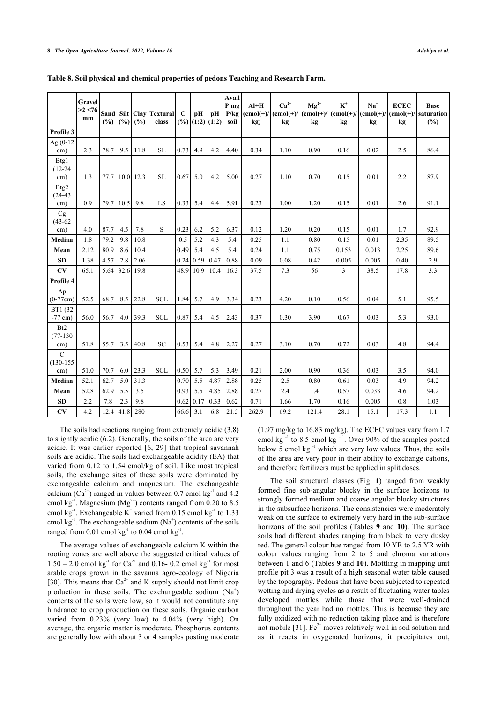|                                      | Gravel<br>>2 < 76<br>mm |      | $(\%)[\%]$  | (%)            | Sand Silt   Clay   Textural  <br>class | $\mathbf C$<br>(%) | pH<br> (1:2) (1:2) | pН   | Avail<br>P mg<br>P/kg<br>soil | $AI+H$<br>kg) | $Ca^{2+}$<br>$ (\text{cmol}(+)/ (\text{cmol}(+)/ (\text{cmol}(+)/ (\text{cmol}(+)/ (\text{cmol}(+)/ (\text{cmol}(+)/ (\text{cmol}(+)/ (\text{cmol}(+)/ (\text{cmol}(+)/ (\text{cmol}(+)/ (\text{cmol}(+)/ (\text{cmol}(+)/ (\text{cmol}(+)/ (\text{cmol}(+)/ (\text{cmol}(+)/ (\text{cmol}(+)/ (\text{cmol}(+)/ (\text{cmol}(+)/ (\text{cmol}(+)/ (\text{cmol}(+)/ (\text{cmol}(+)/ (\text{cmol}(+)/ (\text{cmol}(+)/ (\text{cmol}(+)/ (\text{$<br>kg | $Mg^{2+}$<br>kg | $\mathbf{K}^*$<br>kg | $Na+$<br>kg | <b>ECEC</b><br>kg | <b>Base</b><br>$(cmol(+)/ saturation )$<br>(%) |
|--------------------------------------|-------------------------|------|-------------|----------------|----------------------------------------|--------------------|--------------------|------|-------------------------------|---------------|-------------------------------------------------------------------------------------------------------------------------------------------------------------------------------------------------------------------------------------------------------------------------------------------------------------------------------------------------------------------------------------------------------------------------------------------------------|-----------------|----------------------|-------------|-------------------|------------------------------------------------|
| Profile 3                            |                         |      |             |                |                                        |                    |                    |      |                               |               |                                                                                                                                                                                                                                                                                                                                                                                                                                                       |                 |                      |             |                   |                                                |
| Ag (0-12<br>cm)                      | 2.3                     | 78.7 | 9.5         | 11.8           | <b>SL</b>                              | 0.73               | 4.9                | 4.2  | 4.40                          | 0.34          | 1.10                                                                                                                                                                                                                                                                                                                                                                                                                                                  | 0.90            | 0.16                 | 0.02        | 2.5               | 86.4                                           |
| Btg1<br>$(12 - 24)$<br>cm)           | 1.3                     |      |             | 77.7 10.0 12.3 | SL                                     | 0.67               | 5.0                | 4.2  | 5.00                          | 0.27          | 1.10                                                                                                                                                                                                                                                                                                                                                                                                                                                  | 0.70            | 0.15                 | 0.01        | 2.2               | 87.9                                           |
| Btg2<br>$(24-43)$                    |                         |      |             |                |                                        |                    |                    |      |                               |               |                                                                                                                                                                                                                                                                                                                                                                                                                                                       |                 |                      |             |                   |                                                |
| cm)                                  | 0.9                     | 79.7 | 10.5        | 9.8            | LS                                     | 0.33               | 5.4                | 4.4  | 5.91                          | 0.23          | 1.00                                                                                                                                                                                                                                                                                                                                                                                                                                                  | 1.20            | 0.15                 | 0.01        | 2.6               | 91.1                                           |
| Cg<br>$(43-62)$<br>cm)               | 4.0                     | 87.7 | 4.5         | 7.8            | S                                      | 0.23               | 6.2                | 5.2  | 6.37                          | 0.12          | 1.20                                                                                                                                                                                                                                                                                                                                                                                                                                                  | 0.20            | 0.15                 | 0.01        | 1.7               | 92.9                                           |
| Median                               | 1.8                     | 79.2 | 9.8         | 10.8           |                                        | 0.5                | 5.2                | 4.3  | 5.4                           | 0.25          | 1.1                                                                                                                                                                                                                                                                                                                                                                                                                                                   | 0.80            | 0.15                 | 0.01        | 2.35              | 89.5                                           |
| Mean                                 | 2.12                    | 80.9 | 8.6         | 10.4           |                                        | 0.49               | 5.4                | 4.5  | 5.4                           | 0.24          | 1.1                                                                                                                                                                                                                                                                                                                                                                                                                                                   | 0.75            | 0.153                | 0.013       | 2.25              | 89.6                                           |
| <b>SD</b>                            | 1.38                    | 4.57 | 2.8         | 2.06           |                                        | 0.24               | 0.59               | 0.47 | 0.88                          | 0.09          | 0.08                                                                                                                                                                                                                                                                                                                                                                                                                                                  | 0.42            | 0.005                | 0.005       | 0.40              | 2.9                                            |
| ${\bf CV}$                           | 65.1                    | 5.64 | 32.6        | 19.8           |                                        | 48.9               | 10.9               | 10.4 | 16.3                          | 37.5          | 7.3                                                                                                                                                                                                                                                                                                                                                                                                                                                   | 56              | 3                    | 38.5        | 17.8              | 3.3                                            |
| Profile 4                            |                         |      |             |                |                                        |                    |                    |      |                               |               |                                                                                                                                                                                                                                                                                                                                                                                                                                                       |                 |                      |             |                   |                                                |
| Ap<br>$(0-77cm)$                     | 52.5                    | 68.7 | 8.5         | 22.8           | <b>SCL</b>                             | 1.84               | 5.7                | 4.9  | 3.34                          | 0.23          | 4.20                                                                                                                                                                                                                                                                                                                                                                                                                                                  | 0.10            | 0.56                 | 0.04        | 5.1               | 95.5                                           |
| BT1 (32<br>$-77$ cm)                 | 56.0                    | 56.7 | 4.0         | 39.3           | <b>SCL</b>                             | 0.87               | 5.4                | 4.5  | 2.43                          | 0.37          | 0.30                                                                                                                                                                                                                                                                                                                                                                                                                                                  | 3.90            | 0.67                 | 0.03        | 5.3               | 93.0                                           |
| B <sub>t2</sub><br>$(77-130)$<br>cm) | 51.8                    | 55.7 | 3.5         | 40.8           | <b>SC</b>                              | 0.53               | 5.4                | 4.8  | 2.27                          | 0.27          | 3.10                                                                                                                                                                                                                                                                                                                                                                                                                                                  | 0.70            | 0.72                 | 0.03        | 4.8               | 94.4                                           |
| $\mathcal{C}$<br>$(130-155)$         |                         |      |             |                |                                        |                    |                    |      |                               |               |                                                                                                                                                                                                                                                                                                                                                                                                                                                       |                 |                      |             |                   |                                                |
| cm)                                  | 51.0                    | 70.7 | 6.0         | 23.3           | <b>SCL</b>                             | 0.50               | 5.7                | 5.3  | 3.49                          | 0.21          | 2.00                                                                                                                                                                                                                                                                                                                                                                                                                                                  | 0.90            | 0.36                 | 0.03        | 3.5               | 94.0                                           |
| Median                               | 52.1                    | 62.7 | 5.0         | 31.3           |                                        | 0.70               | 5.5                | 4.87 | 2.88                          | 0.25          | 2.5                                                                                                                                                                                                                                                                                                                                                                                                                                                   | 0.80            | 0.61                 | 0.03        | 4.9               | 94.2                                           |
| Mean                                 | 52.8                    | 62.9 | 5.5         | 3.5            |                                        | 0.93               | 5.5                | 4.85 | 2.88                          | 0.27          | 2.4                                                                                                                                                                                                                                                                                                                                                                                                                                                   | 1.4             | 0.57                 | 0.033       | 4.6               | 94.2                                           |
| <b>SD</b>                            | 2.2                     | 7.8  | 2.3         | 9.8            |                                        | 0.62               | 0.17               | 0.33 | 0.62                          | 0.71          | 1.66                                                                                                                                                                                                                                                                                                                                                                                                                                                  | 1.70            | 0.16                 | 0.005       | 0.8               | 1.03                                           |
| CV                                   | 4.2                     |      | $12.4$ 41.8 | 280            |                                        | 66.6               | 3.1                | 6.8  | 21.5                          | 262.9         | 69.2                                                                                                                                                                                                                                                                                                                                                                                                                                                  | 121.4           | 28.1                 | 15.1        | 17.3              | 1.1                                            |

<span id="page-7-0"></span>**Table 8. Soil physical and chemical properties of pedons Teaching and Research Farm.**

The soils had reactions ranging from extremely acidic (3.8) to slightly acidic (6.2). Generally, the soils of the area are very acidic. It was earlier reported [\[6](#page-11-4), [29](#page-11-26)] that tropical savannah soils are acidic. The soils had exchangeable acidity (EA) that varied from 0.12 to 1.54 cmol/kg of soil. Like most tropical soils, the exchange sites of these soils were dominated by exchangeable calcium and magnesium. The exchangeable calcium  $(Ca^{2+})$  ranged in values between 0.7 cmol kg<sup>-1</sup> and 4.2 cmol kg<sup>-1</sup>. Magnesium (Mg<sup>2+</sup>) contents ranged from 0.20 to 8.5 cmol kg<sup>-1</sup>. Exchangeable  $K^+$  varied from 0.15 cmol kg<sup>-1</sup> to 1.33 cmol kg<sup>-1</sup>. The exchangeable sodium  $(Na^+)$  contents of the soils ranged from  $0.01$  cmol kg<sup>-1</sup> to  $0.04$  cmol kg<sup>-1</sup>.

The average values of exchangeable calcium K within the rooting zones are well above the suggested critical values of  $1.50 - 2.0$  cmol kg<sup>-1</sup> for Ca<sup>2+</sup> and 0.16- 0.2 cmol kg<sup>-1</sup> for most arable crops grown in the savanna agro-ecology of Nigeria [[30\]](#page-11-27). This means that  $Ca^{2+}$  and K supply should not limit crop production in these soils. The exchangeable sodium  $(Na^+)$ contents of the soils were low, so it would not constitute any hindrance to crop production on these soils. Organic carbon varied from 0.23% (very low) to 4.04% (very high). On average, the organic matter is moderate. Phosphorus contents are generally low with about 3 or 4 samples posting moderate (1.97 mg/kg to 16.83 mg/kg). The ECEC values vary from 1.7 cmol kg $^{-1}$  to 8.5 cmol kg $^{-1}$ . Over 90% of the samples posted below 5 cmol kg $^{-1}$  which are very low values. Thus, the soils of the area are very poor in their ability to exchange cations, and therefore fertilizers must be applied in split doses.

The soil structural classes (Fig.**1**) ranged from weakly formed fine sub-angular blocky in the surface horizons to strongly formed medium and coarse angular blocky structures in the subsurface horizons. The consistencies were moderately weak on the surface to extremely very hard in the sub-surface horizons of the soil profiles (Tables**9** and **[10](#page-8-2)**). The surface soils had different shades ranging from black to very dusky red. The general colour hue ranged from 10 YR to 2.5 YR with colour values ranging from 2 to 5 and chroma variations between 1 and 6 (Tables **[9](#page-8-1)** and **[10](#page-8-2)**). Mottling in mapping unit profile pit 3 was a result of a high seasonal water table caused by the topography. Pedons that have been subjected to repeated wetting and drying cycles as a result of fluctuating water tables developed mottles while those that were well-drained throughout the year had no mottles. This is because they are fully oxidized with no reduction taking place and is therefore not mobile [[31\]](#page-11-28).  $Fe<sup>2+</sup>$  moves relatively well in soil solution and as it reacts in oxygenated horizons, it precipitates out,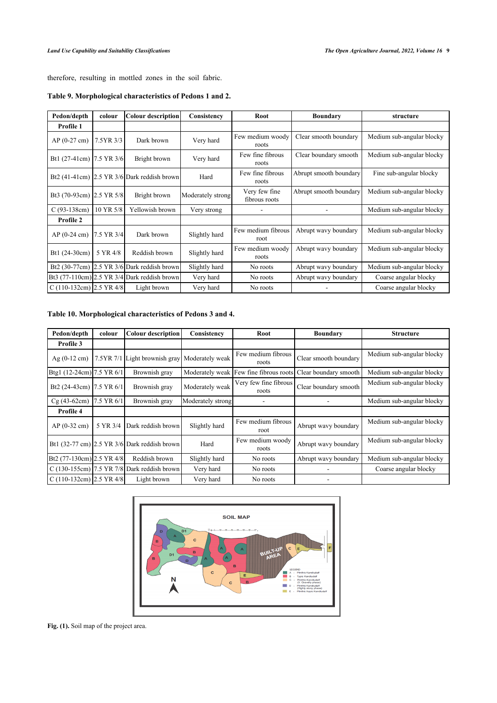therefore, resulting in mottled zones in the soil fabric.

| Pedon/depth                | colour                                        | Colour description                              | Consistency       | Root                           | <b>Boundary</b>        | structure                 |  |
|----------------------------|-----------------------------------------------|-------------------------------------------------|-------------------|--------------------------------|------------------------|---------------------------|--|
| Profile 1                  |                                               |                                                 |                   |                                |                        |                           |  |
| $AP(0-27 \text{ cm})$      | 7.5YR 3/3                                     | Dark brown                                      | Very hard         | Few medium woody<br>roots      | Clear smooth boundary  | Medium sub-angular blocky |  |
| Bt1 (27-41cm) 7.5 YR 3/6   |                                               | Bright brown                                    | Very hard         | Few fine fibrous<br>roots      | Clear boundary smooth  | Medium sub-angular blocky |  |
|                            |                                               | Bt2 $(41-41cm)$ 2.5 YR $3/6$ Dark reddish brown | Hard              | Few fine fibrous<br>roots      | Abrupt smooth boundary | Fine sub-angular blocky   |  |
| Bt3 (70-93cm) 2.5 YR 5/8   |                                               | Bright brown                                    | Moderately strong | Very few fine<br>fibrous roots | Abrupt smooth boundary | Medium sub-angular blocky |  |
| $C(93-138cm)$              | 10 YR 5/8<br>Yellowish brown                  |                                                 | Very strong       |                                |                        | Medium sub-angular blocky |  |
| Profile 2                  |                                               |                                                 |                   |                                |                        |                           |  |
| $AP(0-24 \text{ cm})$      | 7.5 YR 3/4                                    | Dark brown                                      | Slightly hard     | Few medium fibrous<br>root     | Abrupt wavy boundary   | Medium sub-angular blocky |  |
| Bt1 (24-30cm)              | 5 YR 4/8<br>Reddish brown                     |                                                 | Slightly hard     | Few medium woody<br>roots      | Abrupt wavy boundary   | Medium sub-angular blocky |  |
| Bt2 (30-77cm)              |                                               | 2.5 YR 3/6 Dark reddish brown                   | Slightly hard     | No roots                       | Abrupt wavy boundary   | Medium sub-angular blocky |  |
|                            | $Bt3(77-110cm)$ 2.5 YR 3/4 Dark reddish brown |                                                 | Very hard         | No roots                       | Abrupt wavy boundary   | Coarse angular blocky     |  |
| C $(110-132cm)$ 2.5 YR 4/8 |                                               | Light brown                                     | Very hard         | No roots                       |                        | Coarse angular blocky     |  |

### <span id="page-8-1"></span>**Table 9. Morphological characteristics of Pedons 1 and 2.**

### <span id="page-8-2"></span>**Table 10. Morphological characteristics of Pedons 3 and 4.**

| Pedon/depth<br>colour      |            | <b>Colour description</b>                              | Consistency       | Root                           | <b>Boundary</b>                                              | <b>Structure</b>          |  |
|----------------------------|------------|--------------------------------------------------------|-------------------|--------------------------------|--------------------------------------------------------------|---------------------------|--|
| Profile 3                  |            |                                                        |                   |                                |                                                              |                           |  |
| $Ag(0-12 \text{ cm})$      |            | 7.5YR 7/1 Light brownish gray Moderately weak          |                   | Few medium fibrous<br>roots    | Clear smooth boundary                                        | Medium sub-angular blocky |  |
| Btg1 (12-24cm) 7.5 YR 6/1  |            | Brownish gray                                          |                   |                                | Moderately weak Few fine fibrous roots Clear boundary smooth | Medium sub-angular blocky |  |
| Bt2 (24-43cm) 7.5 YR 6/1   |            | Brownish gray                                          | Moderately weak   | Very few fine fibrous<br>roots | Clear boundary smooth                                        | Medium sub-angular blocky |  |
| $Cg(43-62cm)$              | 7.5 YR 6/1 | Brownish gray                                          | Moderately strong |                                |                                                              | Medium sub-angular blocky |  |
| Profile 4                  |            |                                                        |                   |                                |                                                              |                           |  |
| $AP(0-32 \text{ cm})$      | 5 YR 3/4   | Dark reddish brown                                     | Slightly hard     | Few medium fibrous<br>root     | Abrupt wavy boundary                                         | Medium sub-angular blocky |  |
|                            |            | Bt1 $(32-77 \text{ cm})$ 2.5 YR 3/6 Dark reddish brown | Hard              | Few medium woody<br>roots      | Abrupt wavy boundary                                         | Medium sub-angular blocky |  |
| Bt2 (77-130cm) 2.5 YR 4/8  |            | Reddish brown                                          | Slightly hard     | No roots                       | Abrupt wavy boundary                                         | Medium sub-angular blocky |  |
|                            |            | C (130-155cm) $\left  7.5$ YR 7/8 Dark reddish brown   | Very hard         | No roots                       |                                                              | Coarse angular blocky     |  |
| C $(110-132cm)$ 2.5 YR 4/8 |            | Light brown                                            | Very hard         | No roots                       |                                                              |                           |  |

<span id="page-8-0"></span>

**Fig. (1).** Soil map of the project area.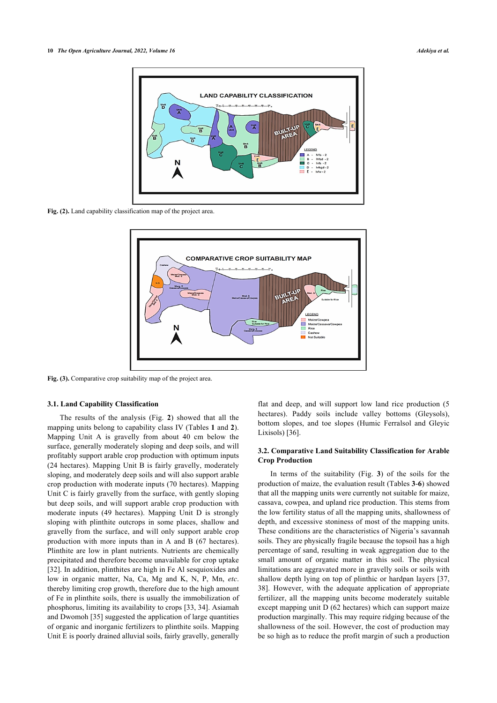<span id="page-9-0"></span>

<span id="page-9-1"></span>**Fig. (2).** Land capability classification map of the project area.



Fig. (3). Comparative crop suitability map of the project area.

#### **3.1. Land Capability Classification**

The results of the analysis (Fig.**2**) showed that all the mapping units belong to capability class IV (Tables **[1](#page-3-0)** and **[2](#page-3-1)**). Mapping Unit A is gravelly from about 40 cm below the surface, generally moderately sloping and deep soils, and will profitably support arable crop production with optimum inputs (24 hectares). Mapping Unit B is fairly gravelly, moderately sloping, and moderately deep soils and will also support arable crop production with moderate inputs (70 hectares). Mapping Unit C is fairly gravelly from the surface, with gently sloping but deep soils, and will support arable crop production with moderate inputs (49 hectares). Mapping Unit D is strongly sloping with plinthite outcrops in some places, shallow and gravelly from the surface, and will only support arable crop production with more inputs than in A and B (67 hectares). Plinthite are low in plant nutrients. Nutrients are chemically precipitated and therefore become unavailable for crop uptake [[32\]](#page-11-29). In addition, plinthites are high in Fe Al sesquioxides and low in organic matter, Na, Ca, Mg and K, N, P, Mn, *etc*. thereby limiting crop growth, therefore due to the high amount of Fe in plinthite soils, there is usually the immobilization of phosphorus, limiting its availability to crops [\[33,](#page-11-30) [34](#page-11-31)]. Asiamah and Dwomoh [\[35](#page-11-32)] suggested the application of large quantities of organic and inorganic fertilizers to plinthite soils. Mapping Unit E is poorly drained alluvial soils, fairly gravelly, generally

flat and deep, and will support low land rice production (5 hectares). Paddy soils include valley bottoms (Gleysols), bottom slopes, and toe slopes (Humic Ferralsol and Gleyic Lixisols) [\[36](#page-11-33)].

### **3.2. Comparative Land Suitability Classification for Arable Crop Production**

In terms of the suitability (Fig.**3**) of the soils for the production of maize, the evaluation result (Tables **[3](#page-3-2)**-**[6](#page-5-0)**) showed that all the mapping units were currently not suitable for maize, cassava, cowpea, and upland rice production. This stems from the low fertility status of all the mapping units, shallowness of depth, and excessive stoniness of most of the mapping units. These conditions are the characteristics of Nigeria's savannah soils. They are physically fragile because the topsoil has a high percentage of sand, resulting in weak aggregation due to the small amount of organic matter in this soil. The physical limitations are aggravated more in gravelly soils or soils with shallow depth lying on top of plinthic or hardpan layers [[37](#page-11-34), [38](#page-11-35)]. However, with the adequate application of appropriate fertilizer, all the mapping units become moderately suitable except mapping unit D (62 hectares) which can support maize production marginally. This may require ridging because of the shallowness of the soil. However, the cost of production may be so high as to reduce the profit margin of such a production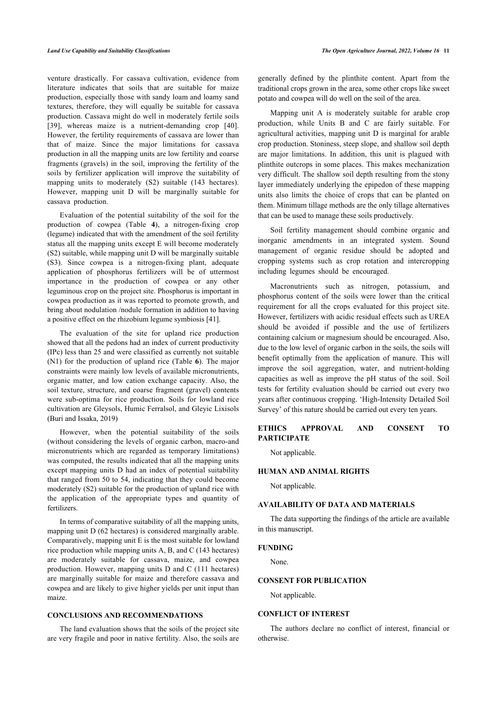venture drastically. For cassava cultivation, evidence from literature indicates that soils that are suitable for maize production, especially those with sandy loam and loamy sand textures, therefore, they will equally be suitable for cassava production. Cassava might do well in moderately fertile soils [[39\]](#page-11-36), whereas maize is a nutrient-demanding crop[[40\]](#page-11-37). However, the fertility requirements of cassava are lower than that of maize. Since the major limitations for cassava production in all the mapping units are low fertility and coarse fragments (gravels) in the soil, improving the fertility of the soils by fertilizer application will improve the suitability of mapping units to moderately (S2) suitable (143 hectares). However, mapping unit D will be marginally suitable for cassava production.

Evaluation of the potential suitability of the soil for the production of cowpea (Table**4**), a nitrogen-fixing crop (legume) indicated that with the amendment of the soil fertility status all the mapping units except E will become moderately (S2) suitable, while mapping unit D will be marginally suitable (S3). Since cowpea is a nitrogen-fixing plant, adequate application of phosphorus fertilizers will be of uttermost importance in the production of cowpea or any other leguminous crop on the project site. Phosphorus is important in cowpea production as it was reported to promote growth, and bring about nodulation /nodule formation in addition to having a positive effect on the rhizobium legume symbiosis [\[41](#page-11-38)].

The evaluation of the site for upland rice production showed that all the pedons had an index of current productivity (IPc) less than 25 and were classified as currently not suitable (N1) for the production of upland rice (Table **[6](#page-5-0)**). The major constraints were mainly low levels of available micronutrients, organic matter, and low cation exchange capacity. Also, the soil texture, structure, and coarse fragment (gravel) contents were sub-optima for rice production. Soils for lowland rice cultivation are Gleysols, Humic Ferralsol, and Gleyic Lixisols (Buri and Issaka, 2019)

However, when the potential suitability of the soils (without considering the levels of organic carbon, macro-and micronutrients which are regarded as temporary limitations) was computed, the results indicated that all the mapping units except mapping units D had an index of potential suitability that ranged from 50 to 54, indicating that they could become moderately (S2) suitable for the production of upland rice with the application of the appropriate types and quantity of fertilizers.

In terms of comparative suitability of all the mapping units, mapping unit D (62 hectares) is considered marginally arable. Comparatively, mapping unit E is the most suitable for lowland rice production while mapping units A, B, and C (143 hectares) are moderately suitable for cassava, maize, and cowpea production. However, mapping units D and C (111 hectares) are marginally suitable for maize and therefore cassava and cowpea and are likely to give higher yields per unit input than maize.

### **CONCLUSIONS AND RECOMMENDATIONS**

The land evaluation shows that the soils of the project site are very fragile and poor in native fertility. Also, the soils are

generally defined by the plinthite content. Apart from the traditional crops grown in the area, some other crops like sweet potato and cowpea will do well on the soil of the area.

Mapping unit A is moderately suitable for arable crop production, while Units B and C are fairly suitable. For agricultural activities, mapping unit D is marginal for arable crop production. Stoniness, steep slope, and shallow soil depth are major limitations. In addition, this unit is plagued with plinthite outcrops in some places. This makes mechanization very difficult. The shallow soil depth resulting from the stony layer immediately underlying the epipedon of these mapping units also limits the choice of crops that can be planted on them. Minimum tillage methods are the only tillage alternatives that can be used to manage these soils productively.

Soil fertility management should combine organic and inorganic amendments in an integrated system. Sound management of organic residue should be adopted and cropping systems such as crop rotation and intercropping including legumes should be encouraged.

Macronutrients such as nitrogen, potassium, and phosphorus content of the soils were lower than the critical requirement for all the crops evaluated for this project site. However, fertilizers with acidic residual effects such as UREA should be avoided if possible and the use of fertilizers containing calcium or magnesium should be encouraged. Also, due to the low level of organic carbon in the soils, the soils will benefit optimally from the application of manure. This will improve the soil aggregation, water, and nutrient-holding capacities as well as improve the pH status of the soil. Soil tests for fertility evaluation should be carried out every two years after continuous cropping. 'High-Intensity Detailed Soil Survey' of this nature should be carried out every ten years.

### **ETHICS APPROVAL AND CONSENT TO PARTICIPATE**

Not applicable.

### **HUMAN AND ANIMAL RIGHTS**

Not applicable.

### **AVAILABILITY OF DATA AND MATERIALS**

The data supporting the findings of the article are available in this manuscript.

### **FUNDING**

None.

### **CONSENT FOR PUBLICATION**

Not applicable.

### **CONFLICT OF INTEREST**

The authors declare no conflict of interest, financial or otherwise.